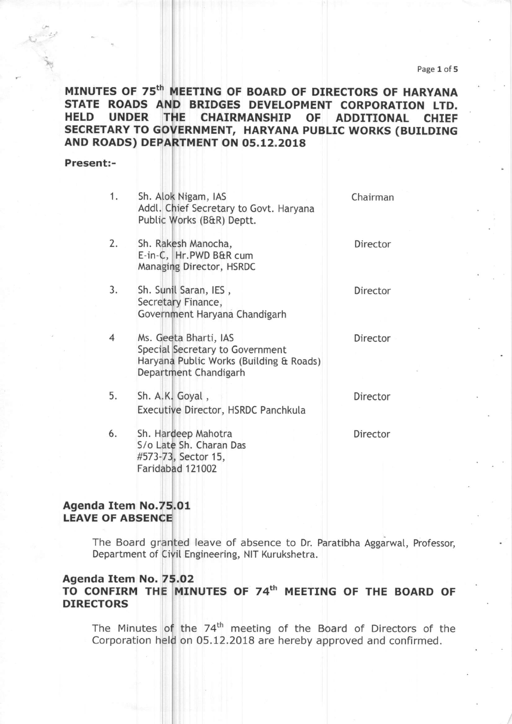# MINUTES OF 75th MEETING OF BOARD OF DIRECTORS OF HARYANA STATE ROADS AND BRIDGES DEVELOPMENT CORPORATION LTD.<br>HELD UNDER THE CHAIRMANSHIP OF ADDITIONAL CHIEF HELD UNDER SECRETARY TO GOVERNMENT, HARYANA PUBLIC WORKS (BUILDING AND ROADS) DEPARTMENT ON 05.12.2018

## Present:-

- 1. sh. Nigam, IAS Addl. Chief Secretary to Govt. Haryana Public Works (B&R) Deptt.
- 2. E-in-C, HT.PWD B&R cum Managi Director, HSRDC Sh. Rakesh Manocha, and a control of the Director
- 3. Sh. Sunil Saran, IES, Sh. Sunil Saran, IES, Sh. 2012 Secretary Finance, Government Haryana Chandigarh
- $\overline{4}$ Ms. Geeta Bharti, IAS **Director** Special Secretary to Government Haryan Pubtic Works (Buitding & Roads) Department Chandigarh
- 5. Sh. A.K. Goyal, Director Executive Director, HSRDC Panchkula
- 6. Sh. Hardeep Mahotra S/o Late Sh. Charan Das #573-73, Sector 15, Faridabad 121002

Chairman

Director

## Agenda Item No.75.01 LEAVE OF ABSEN

The Board granted leave of absence to Dr. Paratibha Aggarwal, Professor, Department of Civil Engineering, NIT Kurukshetra

# Agenda Item No. 75.02

TO CONFIRM THE MINUTES OF 74 $^{\rm th}$  Meeting of the board of DIRECTORS

The Minutes of the 74<sup>th</sup> meeting of the Board of Directors of the Corporation held on 05.12.2018 are hereby approved and confirmed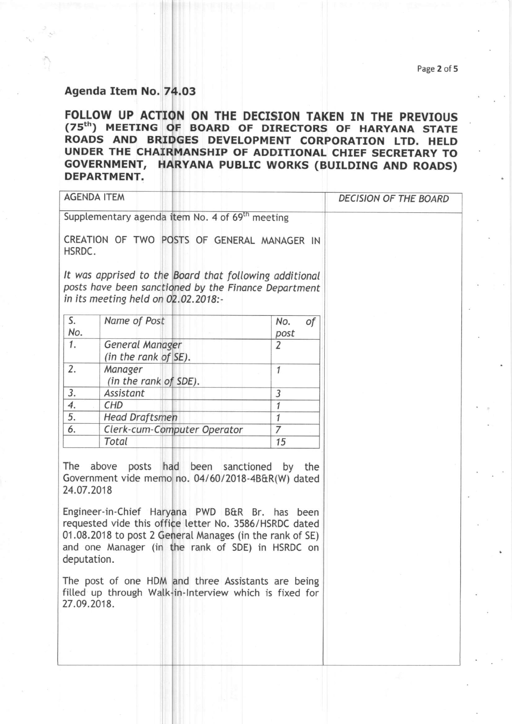#### Page 2 of 5

# Agenda Item No. 74.03

FOLLOW UP ACTION ON THE DECISION TAKEN IN THE PREVIOUS (7sth) MEETTNG BOARD OF DIRECTORS OF HARYANA STATE ROADS AND BRIDGES DEVELOPMENT CORPORATION LTD. HELD UNDER THE CHAIRMANSHIP OF ADDITIONAL CHIEF SECRETARY TO GOVERNMENT, HARYANA PUBLIC WORKS (BUILDING AND ROADS) DEPARTMENT,

|                                  | <b>AGENDA ITEM</b>                                                                                                                                                                                                                                                                                               |                   | <b>DECISION OF THE BOARD</b> |
|----------------------------------|------------------------------------------------------------------------------------------------------------------------------------------------------------------------------------------------------------------------------------------------------------------------------------------------------------------|-------------------|------------------------------|
|                                  | Supplementary agenda item No. 4 of 69 <sup>th</sup> meeting                                                                                                                                                                                                                                                      |                   |                              |
| HSRDC.                           | CREATION OF TWO POSTS OF GENERAL MANAGER IN                                                                                                                                                                                                                                                                      |                   |                              |
|                                  | It was apprised to the Board that following additional<br>posts have been sanctioned by the Finance Department<br>in its meeting held on 02.02.2018:-                                                                                                                                                            |                   |                              |
| S.<br>No.                        | Name of Post                                                                                                                                                                                                                                                                                                     | оf<br>No.<br>post |                              |
| 1.                               | General Manager<br>(in the rank of SE).                                                                                                                                                                                                                                                                          | $\overline{2}$    |                              |
| 2.                               | Manager<br>(in the rank of SDE).                                                                                                                                                                                                                                                                                 | $\mathcal{I}$     |                              |
| 3.                               | Assistant                                                                                                                                                                                                                                                                                                        | 3                 |                              |
| 4.                               | <b>CHD</b>                                                                                                                                                                                                                                                                                                       | $\overline{1}$    |                              |
| 5.                               | <b>Head Draftsmen</b>                                                                                                                                                                                                                                                                                            | $\mathbf{1}$      |                              |
| 6.                               | Clerk-cum-Computer Operator                                                                                                                                                                                                                                                                                      | $\overline{7}$    |                              |
|                                  | Total                                                                                                                                                                                                                                                                                                            | 15                |                              |
| The<br>24.07.2018<br>deputation. | above posts had been sanctioned<br>Government vide memo no. 04/60/2018-4B&R(W) dated<br>Engineer-in-Chief Haryana PWD B&R Br. has been<br>requested vide this office letter No. 3586/HSRDC dated<br>01.08.2018 to post 2 General Manages (in the rank of SE)<br>and one Manager (in the rank of SDE) in HSRDC on | by the            |                              |
| 27.09.2018.                      | The post of one HDM and three Assistants are being<br>filled up through Walk-in-Interview which is fixed for                                                                                                                                                                                                     |                   |                              |
|                                  |                                                                                                                                                                                                                                                                                                                  |                   |                              |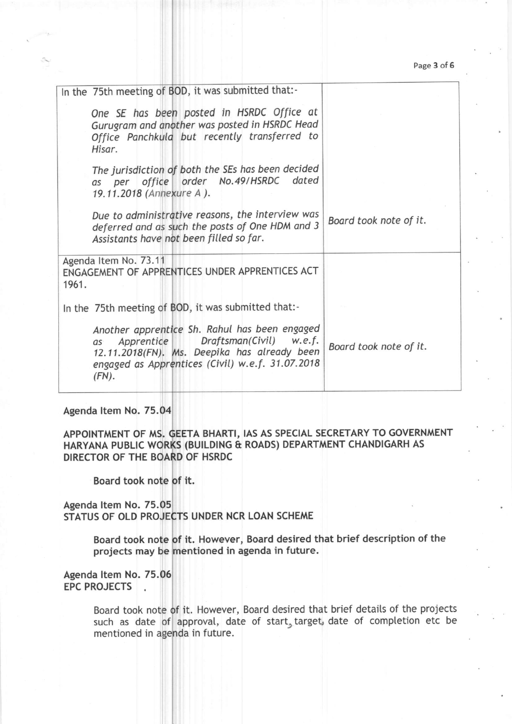Page 3 of 6

| Board took note of it.                       |
|----------------------------------------------|
|                                              |
|                                              |
| Board took note of it.                       |
| 12.11.2018(FN). Ms. Deepika has already been |

# Agenda ltem No. 75.04

APPOINTMENT OF MS. GEETA BHARTI, IAS AS SPECIAL SECRETARY TO GOVERNMENT HARYANA PUBLIC WORKS (BUILDING & ROADS) DEPARTMENT CHANDIGARH AS DIRECTOR OF THE BOA OF HSRDC

Board took note <mark>of it.</mark>

Agenda ltem No. 75.05 STATUS OF OLD PROJECTS UNDER NCR LOAN SCHEME

> Board took note of it. However, Board desired that brief description of the projects may be mentioned in agenda in future.

Agenda Item No. 75.06 EPC PROJECTS

> Board took note of it. However, Board desired that brief details of the projects such as date of approval, date of start, target, date of completion etc be mentioned in agenda in future.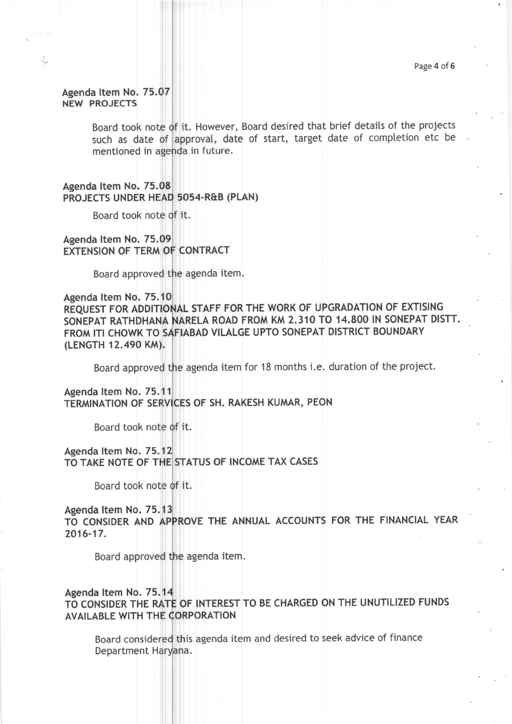## Agenda ltem No. 75.07 NEW PROJECTS

Board took note of it. However, Board desired that brief details of the projects such as date of approval, date of start, target date of completion etc be mentioned in agenda in future.

## Agenda ltem No. 75.08 PROJECTS UNDER H 50s4-R&B (PLAN)

Board took note of it.

Agenda ltem No. 75.09 EXTENSION OF TERM OF CONTRACT

Board approved agenda item.

## Agenda ltem No. 75.1 REQUEST FOR ADDITIONAL STAFF FOR THE WORK OF UPGRADATION OF EXTISING SONEPAT RATHDHANA NARELA ROAD FROM KM 2.310 TO 14.800 IN SONEPAT DISTT. FROM ITI CHOWK TO SAFIABAD VILALGE UPTO SONEPAT DISTRICT BOUNDARY (LENGTH 12.490 KM).

Board approved the agenda item for 18 months i.e. duration of the project.

Agenda ltem No. 75.11 TERMINATION OF SERVICES OF SH. RAKESH KUMAR, PEON

Board took note

Agenda ltem No. 75.1 TO TAKE NOTE OF THE STATUS OF INCOME TAX CASES

Board took note of it.

#### Agenda ltem No. 75.1

TO CONSIDER AND APPROVE THE ANNUAL ACCOUNTS FOR THE FINANCIAL 2016-17.

Board approved agenda item.

## Agenda Item No. 75.14 TO CONSIDER THE RATE OF INTEREST TO BE CHARGED ON THE UNUTILIZED FUNDS AVAILABLE WITH THE ORPORATION

Board considered this agenda item and desired to seek advice of finance Department Haryana.